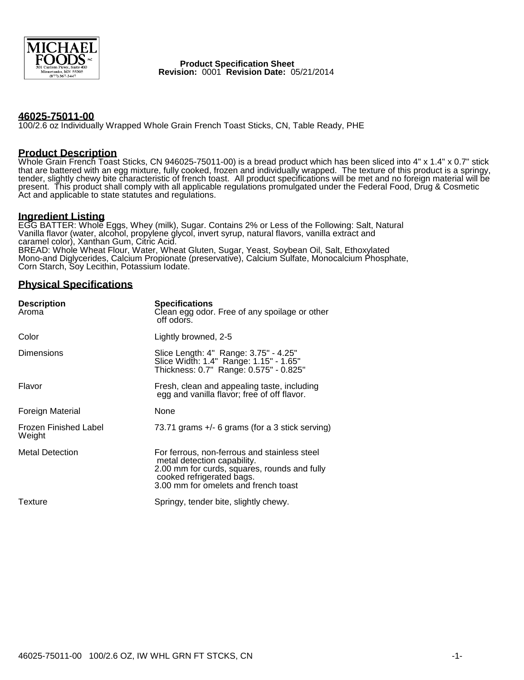

#### **Product Specification Sheet Revision:** 0001 **Revision Date:** 05/21/2014

### **46025-75011-00**

100/2.6 oz Individually Wrapped Whole Grain French Toast Sticks, CN, Table Ready, PHE

### **Product Description**

Whole Grain French Toast Sticks, CN 946025-75011-00) is a bread product which has been sliced into 4" x 1.4" x 0.7" stick that are battered with an egg mixture, fully cooked, frozen and individually wrapped. The texture of this product is a springy, tender, slightly chewy bite characteristic of french toast. All product specifications will be met and no foreign material will be present. This product shall comply with all applicable regulations promulgated under the Federal Food, Drug & Cosmetic Act and applicable to state statutes and regulations.

### **Ingredient Listing**

EGG BATTER: Whole Eggs, Whey (milk), Sugar. Contains 2% or Less of the Following: Salt, Natural Vanilla flavor (water, alcohol, propylene glycol, invert syrup, natural flavors, vanilla extract and caramel color), Xanthan Gum, Citric Acid. BREAD: Whole Wheat Flour, Water, Wheat Gluten, Sugar, Yeast, Soybean Oil, Salt, Ethoxylated Mono-and Diglycerides, Calcium Propionate (preservative), Calcium Sulfate, Monocalcium Phosphate, Corn Starch, Soy Lecithin, Potassium Iodate.

#### **Physical Specifications**

| <b>Description</b><br>Aroma     | <b>Specifications</b><br>Clean egg odor. Free of any spoilage or other<br>off odors.                                                                                                             |
|---------------------------------|--------------------------------------------------------------------------------------------------------------------------------------------------------------------------------------------------|
| Color                           | Lightly browned, 2-5                                                                                                                                                                             |
| <b>Dimensions</b>               | Slice Length: 4" Range: 3.75" - 4.25"<br>Slice Width: 1.4" Range: 1.15" - 1.65"<br>Thickness: 0.7" Range: 0.575" - 0.825"                                                                        |
| Flavor                          | Fresh, clean and appealing taste, including<br>egg and vanilla flavor; free of off flavor.                                                                                                       |
| Foreign Material                | None                                                                                                                                                                                             |
| Frozen Finished Label<br>Weight | 73.71 grams +/- 6 grams (for a 3 stick serving)                                                                                                                                                  |
| <b>Metal Detection</b>          | For ferrous, non-ferrous and stainless steel<br>metal detection capability.<br>2.00 mm for curds, squares, rounds and fully<br>cooked refrigerated bags.<br>3.00 mm for omelets and french toast |
| Texture                         | Springy, tender bite, slightly chewy.                                                                                                                                                            |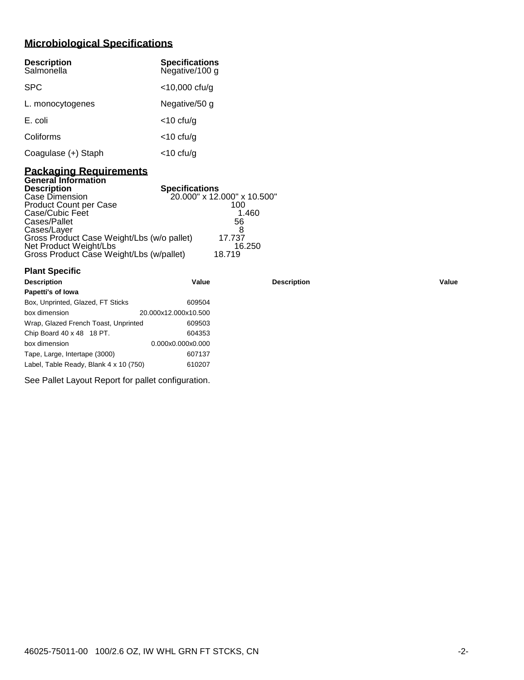# **Microbiological Specifications**

| <b>Description</b><br>Salmonella | <b>Specifications</b><br>Negative/100 g |
|----------------------------------|-----------------------------------------|
| <b>SPC</b>                       | $<$ 10,000 cfu/g                        |
| L. monocytogenes                 | Negative/50 g                           |
| E. coli                          | $<$ 10 cfu/g                            |
| Coliforms                        | $<$ 10 cfu/g                            |
| Coagulase (+) Staph              | <10 cfu/g                               |

### **Packaging Requirements General Information**

| <b>Description</b>                         | <b>Specifications</b>       |
|--------------------------------------------|-----------------------------|
| Case Dimension                             | 20.000" x 12.000" x 10.500" |
| <b>Product Count per Case</b>              | 100                         |
| Case/Cubic Feet                            | 1.460                       |
| Cases/Pallet                               | 56                          |
| Cases/Layer                                |                             |
| Gross Product Case Weight/Lbs (w/o pallet) | 17.737                      |
| Net Product Weight/Lbs                     | 16.250                      |
| Gross Product Case Weight/Lbs (w/pallet)   | 18.719                      |

| <b>Plant Specific</b>                  |                      |                    |       |
|----------------------------------------|----------------------|--------------------|-------|
| <b>Description</b>                     | Value                | <b>Description</b> | Value |
| Papetti's of Iowa                      |                      |                    |       |
| Box, Unprinted, Glazed, FT Sticks      | 609504               |                    |       |
| box dimension                          | 20.000x12.000x10.500 |                    |       |
| Wrap, Glazed French Toast, Unprinted   | 609503               |                    |       |
| Chip Board 40 x 48 18 PT.              | 604353               |                    |       |
| box dimension                          | 0.000x0.000x0.000    |                    |       |
| Tape, Large, Intertape (3000)          | 607137               |                    |       |
| Label, Table Ready, Blank 4 x 10 (750) | 610207               |                    |       |

See Pallet Layout Report for pallet configuration.